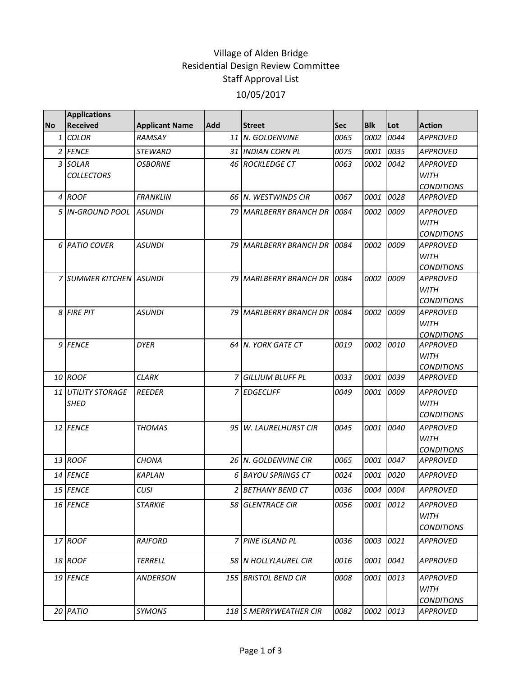## Village of Alden Bridge Residential Design Review Committee Staff Approval List 10/05/2017

|              | <b>Applications</b>     |                       |     |                           |            |            |           |                                  |
|--------------|-------------------------|-----------------------|-----|---------------------------|------------|------------|-----------|----------------------------------|
| <b>No</b>    | <b>Received</b>         | <b>Applicant Name</b> | Add | <b>Street</b>             | <b>Sec</b> | <b>Blk</b> | Lot       | <b>Action</b>                    |
| $\mathbf{1}$ | <b>COLOR</b>            | RAMSAY                |     | 11 N. GOLDENVINE          | 0065       | 0002       | 0044      | <b>APPROVED</b>                  |
|              | 2 FENCE                 | STEWARD               |     | 31 INDIAN CORN PL         | 0075       | 0001       | 0035      | <b>APPROVED</b>                  |
|              | 3 SOLAR                 | <b>OSBORNE</b>        |     | 46 ROCKLEDGE CT           | 0063       | 0002       | 0042      | <b>APPROVED</b>                  |
|              | <b>COLLECTORS</b>       |                       |     |                           |            |            |           | <b>WITH</b>                      |
|              |                         |                       |     |                           |            |            |           | <b>CONDITIONS</b>                |
|              | 4 ROOF                  | <b>FRANKLIN</b>       |     | 66 N. WESTWINDS CIR       | 0067       | 0001       | 0028      | <b>APPROVED</b>                  |
|              | 5 IIN-GROUND POOL       | <b>ASUNDI</b>         |     | 79 MARLBERRY BRANCH DR    | 0084       |            | 0002 0009 | <b>APPROVED</b>                  |
|              |                         |                       |     |                           |            |            |           | <b>WITH</b>                      |
|              |                         |                       |     |                           |            |            |           | <b>CONDITIONS</b>                |
|              | 6 PATIO COVER           | <b>ASUNDI</b>         |     | 79 MARLBERRY BRANCH DR    | 0084       | 0002       | 0009      | <b>APPROVED</b>                  |
|              |                         |                       |     |                           |            |            |           | <b>WITH</b>                      |
|              |                         |                       |     |                           |            |            |           | <b>CONDITIONS</b>                |
|              | 7 SUMMER KITCHEN ASUNDI |                       |     | 79 MARLBERRY BRANCH DR    | 0084       |            | 0002 0009 | <b>APPROVED</b>                  |
|              |                         |                       |     |                           |            |            |           | <b>WITH</b><br><b>CONDITIONS</b> |
|              | 8 FIRE PIT              | <b>ASUNDI</b>         |     | 79 MARLBERRY BRANCH DR    | 0084       | 0002       | 0009      | <b>APPROVED</b>                  |
|              |                         |                       |     |                           |            |            |           | <b>WITH</b>                      |
|              |                         |                       |     |                           |            |            |           | <b>CONDITIONS</b>                |
|              | 9 FENCE                 | <b>DYER</b>           |     | 64 N. YORK GATE CT        | 0019       |            | 0002 0010 | <b>APPROVED</b>                  |
|              |                         |                       |     |                           |            |            |           | <b>WITH</b>                      |
|              |                         |                       |     |                           |            |            |           | <b>CONDITIONS</b>                |
|              | 10 ROOF                 | <b>CLARK</b>          |     | <b>7 GILLIUM BLUFF PL</b> | 0033       | 0001       | 0039      | APPROVED                         |
|              | 11 UTILITY STORAGE      | <b>REEDER</b>         |     | 7 EDGECLIFF               | 0049       | 0001       | 0009      | <b>APPROVED</b>                  |
|              | <b>SHED</b>             |                       |     |                           |            |            |           | <b>WITH</b>                      |
|              |                         |                       |     |                           |            |            |           | <b>CONDITIONS</b>                |
|              | 12 FENCE                | <b>THOMAS</b>         |     | 95 W. LAURELHURST CIR     | 0045       | 0001       | 0040      | <b>APPROVED</b>                  |
|              |                         |                       |     |                           |            |            |           | <b>WITH</b>                      |
|              |                         |                       |     |                           |            |            |           | <b>CONDITIONS</b>                |
|              | 13 ROOF                 | CHONA                 |     | 26 N. GOLDENVINE CIR      | 0065       | 0001       | 0047      | <b>APPROVED</b>                  |
|              | 14 FENCE                | <b>KAPLAN</b>         | 6   | <b>BAYOU SPRINGS CT</b>   | 0024       | 0001       | 0020      | <b>APPROVED</b>                  |
|              | 15 FENCE                | CUSI                  |     | 2 BETHANY BEND CT         | 0036       |            | 0004 0004 | APPROVED                         |
|              | 16 FENCE                | <b>STARKIE</b>        |     | <b>58 GLENTRACE CIR</b>   | 0056       |            | 0001 0012 | <b>APPROVED</b>                  |
|              |                         |                       |     |                           |            |            |           | WITH                             |
|              |                         |                       |     |                           |            |            |           | <b>CONDITIONS</b>                |
|              | 17 ROOF                 | <b>RAIFORD</b>        |     | 7 PINE ISLAND PL          | 0036       | 0003       | 0021      | <b>APPROVED</b>                  |
|              | 18 ROOF                 | <b>TERRELL</b>        |     | 58 N HOLLYLAUREL CIR      | 0016       | 0001       | 0041      | <b>APPROVED</b>                  |
|              | 19 FENCE                | ANDERSON              |     | 155 BRISTOL BEND CIR      | 0008       | 0001       | 0013      | <b>APPROVED</b>                  |
|              |                         |                       |     |                           |            |            |           | <b>WITH</b>                      |
|              |                         |                       |     |                           |            |            |           | <b>CONDITIONS</b>                |
|              | 20 PATIO                | SYMONS                |     | 118 S MERRYWEATHER CIR    | 0082       | 0002       | 0013      | <b>APPROVED</b>                  |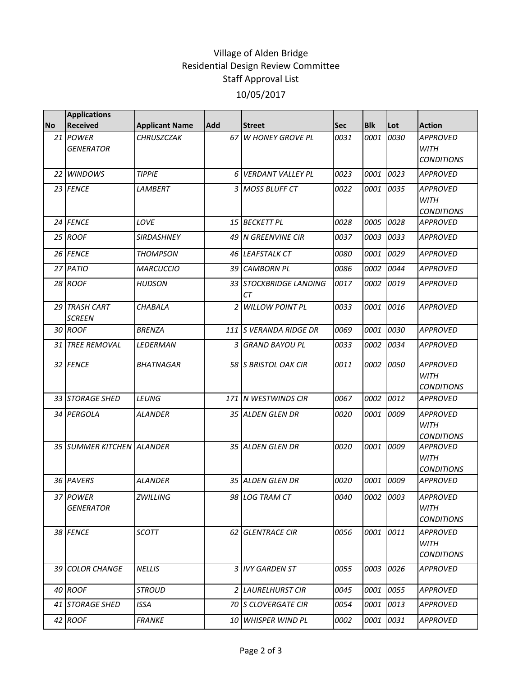## Village of Alden Bridge Residential Design Review Committee Staff Approval List 10/05/2017

|           | <b>Applications</b>            |                       |            |                              |             |             |      |                                                     |
|-----------|--------------------------------|-----------------------|------------|------------------------------|-------------|-------------|------|-----------------------------------------------------|
| <b>No</b> | <b>Received</b>                | <b>Applicant Name</b> | <b>Add</b> | <b>Street</b>                | <b>Sec</b>  | <b>Blk</b>  | Lot  | <b>Action</b>                                       |
|           | 21 POWER<br><b>GENERATOR</b>   | CHRUSZCZAK            | 67         | <b>W HONEY GROVE PL</b>      | 0031        | 0001        | 0030 | <b>APPROVED</b><br><b>WITH</b><br><b>CONDITIONS</b> |
|           | 22 WINDOWS                     | <b>TIPPIE</b>         | 6          | <b>VERDANT VALLEY PL</b>     | 0023        | 0001        | 0023 | <b>APPROVED</b>                                     |
|           | 23 FENCE                       | LAMBERT               |            | 3 MOSS BLUFF CT              | 0022        | <i>0001</i> | 0035 | <b>APPROVED</b><br><b>WITH</b><br><b>CONDITIONS</b> |
|           | 24 FENCE                       | LOVE                  |            | 15 BECKETT PL                | 0028        | 0005        | 0028 | <b>APPROVED</b>                                     |
|           | 25 ROOF                        | SIRDASHNEY            |            | 49 N GREENVINE CIR           | 0037        | 0003        | 0033 | <b>APPROVED</b>                                     |
|           | 26 FENCE                       | <b>THOMPSON</b>       |            | 46 LEAFSTALK CT              | 0080        | 0001        | 0029 | <b>APPROVED</b>                                     |
|           | 27 PATIO                       | <b>MARCUCCIO</b>      |            | 39 CAMBORN PL                | 0086        | 0002        | 0044 | <b>APPROVED</b>                                     |
|           | 28 ROOF                        | <b>HUDSON</b>         |            | 33 STOCKBRIDGE LANDING<br>CТ | 0017        | 0002        | 0019 | APPROVED                                            |
|           | 29 TRASH CART<br><b>SCREEN</b> | <b>CHABALA</b>        | 2          | <b>WILLOW POINT PL</b>       | 0033        | 0001        | 0016 | <b>APPROVED</b>                                     |
|           | 30 ROOF                        | <b>BRENZA</b>         |            | 111 IS VERANDA RIDGE DR      | 0069        | 0001        | 0030 | <b>APPROVED</b>                                     |
|           | <b>31 TREE REMOVAL</b>         | <b>LEDERMAN</b>       |            | 3 GRAND BAYOU PL             | 0033        | 0002        | 0034 | <b>APPROVED</b>                                     |
|           | 32 FENCE                       | <b>BHATNAGAR</b>      |            | 58 S BRISTOL OAK CIR         | 0011        | 0002        | 0050 | <b>APPROVED</b><br><b>WITH</b><br><b>CONDITIONS</b> |
|           | 33 STORAGE SHED                | LEUNG                 |            | 171 N WESTWINDS CIR          | 0067        | 0002        | 0012 | <b>APPROVED</b>                                     |
|           | 34 PERGOLA                     | ALANDER               |            | 35 ALDEN GLEN DR             | 0020        | <i>0001</i> | 0009 | <b>APPROVED</b><br><b>WITH</b><br><b>CONDITIONS</b> |
|           | 35 SUMMER KITCHEN ALANDER      |                       |            | 35 ALDEN GLEN DR             | 0020        | 0001        | 0009 | <b>APPROVED</b><br><b>WITH</b><br><b>CONDITIONS</b> |
|           | 36 PAVERS                      | <b>ALANDER</b>        |            | 35 ALDEN GLEN DR             | 0020        | 0001        | 0009 | <b>APPROVED</b>                                     |
|           | 37 POWER<br><b>GENERATOR</b>   | <b>ZWILLING</b>       |            | 98 LOG TRAM CT               | 0040        | 0002 0003   |      | <b>APPROVED</b><br><b>WITH</b><br><b>CONDITIONS</b> |
|           | 38 FENCE                       | SCOTT                 |            | 62 GLENTRACE CIR             | 0056        | 0001        | 0011 | APPROVED<br><b>WITH</b><br><b>CONDITIONS</b>        |
|           | 39 COLOR CHANGE                | <b>NELLIS</b>         |            | 3 IVY GARDEN ST              | 0055        | 0003        | 0026 | <b>APPROVED</b>                                     |
|           | 40 ROOF                        | <b>STROUD</b>         |            | 2 LAURELHURST CIR            | 0045        | 0001        | 0055 | <b>APPROVED</b>                                     |
|           | 41 STORAGE SHED                | ISSA                  |            | 70 S CLOVERGATE CIR          | 0054        | 0001        | 0013 | <b>APPROVED</b>                                     |
|           | 42 ROOF                        | <b>FRANKE</b>         |            | 10 WHISPER WIND PL           | <i>0002</i> | 0001        | 0031 | <b>APPROVED</b>                                     |